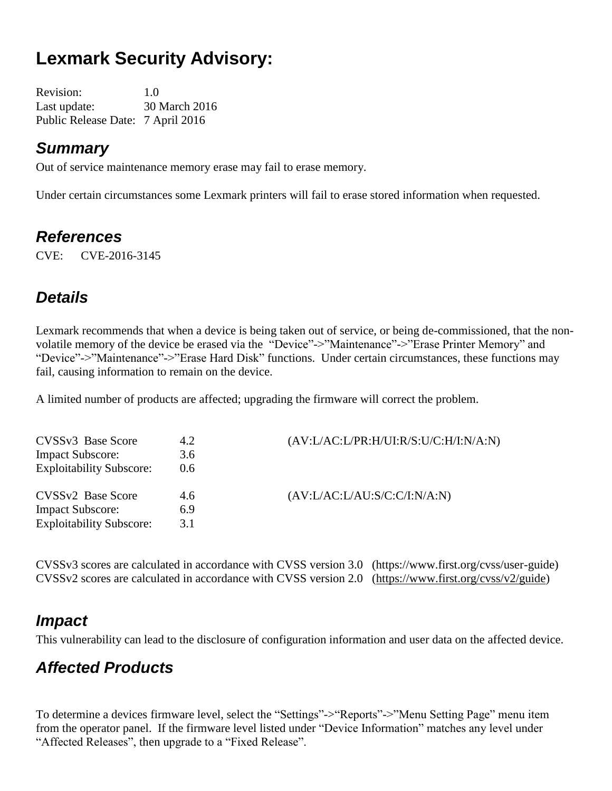# **Lexmark Security Advisory:**

Revision: 1.0 Last update: 30 March 2016 Public Release Date: 7 April 2016

#### *Summary*

Out of service maintenance memory erase may fail to erase memory.

Under certain circumstances some Lexmark printers will fail to erase stored information when requested.

#### *References*

CVE: CVE-2016-3145

### *Details*

Lexmark recommends that when a device is being taken out of service, or being de-commissioned, that the nonvolatile memory of the device be erased via the "Device"->"Maintenance"->"Erase Printer Memory" and "Device"->"Maintenance"->"Erase Hard Disk" functions. Under certain circumstances, these functions may fail, causing information to remain on the device.

A limited number of products are affected; upgrading the firmware will correct the problem.

| CVSSv3 Base Score               | 4.2 | $(AV: L/AC: L/PR: H/UI: R/S: U/C: H/I: N/A: N)$ |
|---------------------------------|-----|-------------------------------------------------|
| <b>Impact Subscore:</b>         | 3.6 |                                                 |
| <b>Exploitability Subscore:</b> | 0.6 |                                                 |
| CVSS <sub>v2</sub> Base Score   | 4.6 | (AV:LAC:LAU: S/C: C/I: N/A: N)                  |
| <b>Impact Subscore:</b>         | 6.9 |                                                 |
| <b>Exploitability Subscore:</b> | 3.1 |                                                 |

CVSSv3 scores are calculated in accordance with CVSS version 3.0 (https://www.first.org/cvss/user-guide) CVSSv2 scores are calculated in accordance with CVSS version 2.0 [\(https://www.first.org/cvss/v2/guide\)](https://www.first.org/cvss/v2/guide)

#### *Impact*

This vulnerability can lead to the disclosure of configuration information and user data on the affected device.

### *Affected Products*

To determine a devices firmware level, select the "Settings"->"Reports"->"Menu Setting Page" menu item from the operator panel. If the firmware level listed under "Device Information" matches any level under "Affected Releases", then upgrade to a "Fixed Release".